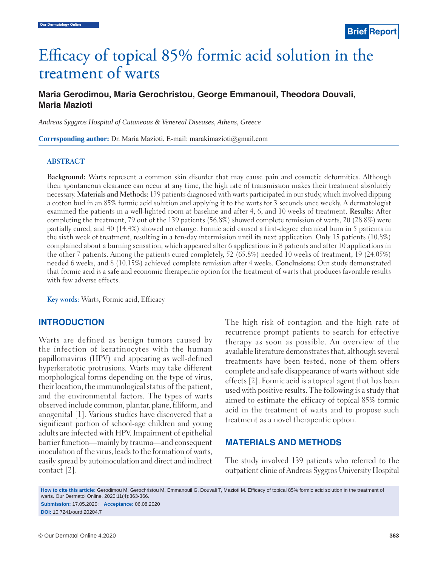# Efficacy of topical 85% formic acid solution in the treatment of warts

# **Maria Gerodimou, Maria Gerochristou, George Emmanouil, Theodora Douvali, Maria Mazioti**

*Andreas Syggros Hospital of Cutaneous & Venereal Diseases, Athens, Greece*

**Corresponding author:** Dr. Maria Mazioti, E-mail: marakimazioti@gmail.com

#### **ABSTRACT**

**Background:** Warts represent a common skin disorder that may cause pain and cosmetic deformities. Although their spontaneous clearance can occur at any time, the high rate of transmission makes their treatment absolutely necessary. **Materials and Methods:** 139 patients diagnosed with warts participated in our study, which involved dipping a cotton bud in an 85% formic acid solution and applying it to the warts for 3 seconds once weekly. A dermatologist examined the patients in a well-lighted room at baseline and after 4, 6, and 10 weeks of treatment. **Results:** After completing the treatment, 79 out of the 139 patients (56.8%) showed complete remission of warts, 20 (28.8%) were partially cured, and 40 (14.4%) showed no change. Formic acid caused a first-degree chemical burn in 5 patients in the sixth week of treatment, resulting in a ten-day intermission until its next application. Only 15 patients (10.8%) complained about a burning sensation, which appeared after 6 applications in 8 patients and after 10 applications in the other 7 patients. Among the patients cured completely, 52 (65.8%) needed 10 weeks of treatment, 19 (24.05%) needed 6 weeks, and 8 (10.15%) achieved complete remission after 4 weeks. **Conclusions:** Our study demonstrated that formic acid is a safe and economic therapeutic option for the treatment of warts that produces favorable results with few adverse effects.

**Key words:** Warts, Formic acid, Efficacy

#### **INTRODUCTION**

Warts are defined as benign tumors caused by the infection of keratinocytes with the human papillomavirus (HPV) and appearing as well-defined hyperkeratotic protrusions. Warts may take different morphological forms depending on the type of virus, their location, the immunological status of the patient, and the environmental factors. The types of warts observed include common, plantar, plane, filiform, and anogenital [1]. Various studies have discovered that a significant portion of school-age children and young adults are infected with HPV. Impairment of epithelial barrier function—mainly by trauma—and consequent inoculation of the virus, leads to the formation of warts, easily spread by autoinoculation and direct and indirect contact [2].

The high risk of contagion and the high rate of recurrence prompt patients to search for effective therapy as soon as possible. An overview of the available literature demonstrates that, although several treatments have been tested, none of them offers complete and safe disappearance of warts without side effects [2]. Formic acid is a topical agent that has been used with positive results. The following is a study that aimed to estimate the efficacy of topical 85% formic acid in the treatment of warts and to propose such treatment as a novel therapeutic option.

#### **MATERIALS AND METHODS**

The study involved 139 patients who referred to the outpatient clinic of Andreas Syggros University Hospital

How to cite this article: Gerodimou M, Gerochristou M, Emmanouil G, Douvali T, Mazioti M. Efficacy of topical 85% formic acid solution in the treatment of warts. Our Dermatol Online. 2020;11(4):363-366. **Submission:** 17.05.2020; **Acceptance:** 06.08.2020

**DOI:** 10.7241/ourd.20204.7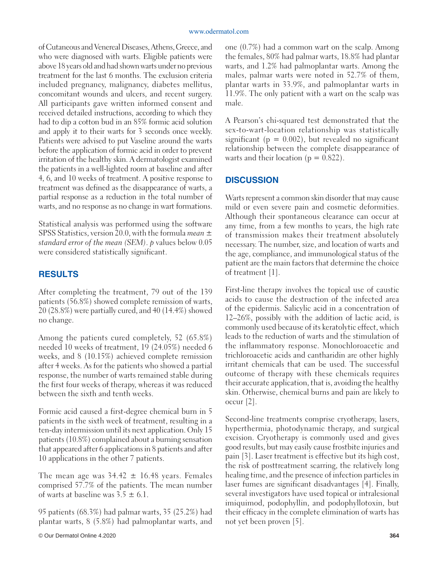of Cutaneous and Venereal Diseases, Athens, Greece, and who were diagnosed with warts. Eligible patients were above 18 years old and had shown warts under no previous treatment for the last 6 months. The exclusion criteria included pregnancy, malignancy, diabetes mellitus, concomitant wounds and ulcers, and recent surgery. All participants gave written informed consent and received detailed instructions, according to which they had to dip a cotton bud in an 85% formic acid solution and apply it to their warts for 3 seconds once weekly. Patients were advised to put Vaseline around the warts before the application of formic acid in order to prevent irritation of the healthy skin. A dermatologist examined the patients in a well-lighted room at baseline and after 4, 6, and 10 weeks of treatment. A positive response to treatment was defined as the disappearance of warts, a partial response as a reduction in the total number of warts, and no response as no change in wart formations.

Statistical analysis was performed using the software SPSS Statistics, version 20.0, with the formula *mean ± standard error of the mean (SEM)*. *p* values below 0.05 were considered statistically significant.

## **RESULTS**

After completing the treatment, 79 out of the 139 patients (56.8%) showed complete remission of warts, 20 (28.8%) were partially cured, and 40 (14.4%) showed no change.

Among the patients cured completely, 52 (65.8%) needed 10 weeks of treatment, 19 (24.05%) needed 6 weeks, and 8 (10.15%) achieved complete remission after 4 weeks. As for the patients who showed a partial response, the number of warts remained stable during the first four weeks of therapy, whereas it was reduced between the sixth and tenth weeks.

Formic acid caused a first-degree chemical burn in 5 patients in the sixth week of treatment, resulting in a ten-day intermission until its next application. Only 15 patients (10.8%) complained about a burning sensation that appeared after 6 applications in 8 patients and after 10 applications in the other 7 patients.

The mean age was  $34.42 \pm 16.48$  years. Females comprised 57.7% of the patients. The mean number of warts at baseline was  $3.5 \pm 6.1$ .

 95 patients (68.3%) had palmar warts, 35 (25.2%) had plantar warts, 8 (5.8%) had palmoplantar warts, and one (0.7%) had a common wart on the scalp. Among the females, 80% had palmar warts, 18.8% had plantar warts, and 1.2% had palmoplantar warts. Among the males, palmar warts were noted in 52.7% of them, plantar warts in 33.9%, and palmoplantar warts in 11.9%. The only patient with a wart on the scalp was male.

A Pearson's chi-squared test demonstrated that the sex-to-wart-location relationship was statistically significant ( $p = 0.002$ ), but revealed no significant relationship between the complete disappearance of warts and their location ( $p = 0.822$ ).

## **DISCUSSION**

Warts represent a common skin disorder that may cause mild or even severe pain and cosmetic deformities. Although their spontaneous clearance can occur at any time, from a few months to years, the high rate of transmission makes their treatment absolutely necessary. The number, size, and location of warts and the age, compliance, and immunological status of the patient are the main factors that determine the choice of treatment [1].

First-line therapy involves the topical use of caustic acids to cause the destruction of the infected area of the epidermis. Salicylic acid in a concentration of 12–26%, possibly with the addition of lactic acid, is commonly used because of its keratolytic effect, which leads to the reduction of warts and the stimulation of the inflammatory response. Monochloroacetic and trichloroacetic acids and cantharidin are other highly irritant chemicals that can be used. The successful outcome of therapy with these chemicals requires their accurate application, that is, avoiding the healthy skin. Otherwise, chemical burns and pain are likely to occur [2].

Second-line treatments comprise cryotherapy, lasers, hyperthermia, photodynamic therapy, and surgical excision. Cryotherapy is commonly used and gives good results, but may easily cause frostbite injuries and pain [3]. Laser treatment is effective but its high cost, the risk of posttreatment scarring, the relatively long healing time, and the presence of infection particles in laser fumes are significant disadvantages [4]. Finally, several investigators have used topical or intralesional imiquimod, podophyllin, and podophyllotoxin, but their efficacy in the complete elimination of warts has not yet been proven [5].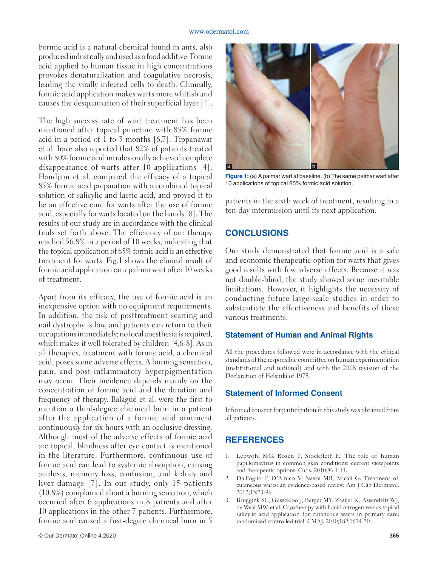Formic acid is a natural chemical found in ants, also produced industrially and used as a food additive. Formic acid applied to human tissue in high concentrations provokes denaturalization and coagulative necrosis, leading the virally infected cells to death. Clinically, formic acid application makes warts more whitish and causes the desquamation of their superficial layer [4].

The high success rate of wart treatment has been mentioned after topical puncture with 85% formic acid in a period of 1 to 3 months [6,7]. Tippanawar et al. have also reported that 82% of patients treated with 80% formic acid intralesionally achieved complete disappearance of warts after 10 applications [4]. Handjani et al. compared the efficacy of a topical 85% formic acid preparation with a combined topical solution of salicylic and lactic acid, and proved it to be an effective cure for warts after the use of formic acid, especially for warts located on the hands [8]. The results of our study are in accordance with the clinical trials set forth above. The efficiency of our therapy reached 56.8% in a period of 10 weeks, indicating that the topical application of 85% formic acid is an effective treatment for warts. Fig.1 shows the clinical result of formic acid application on a palmar wart after 10 weeks of treatment.

Apart from its efficacy, the use of formic acid is an inexpensive option with no equipment requirements. In addition, the risk of posttreatment scarring and nail dystrophy is low, and patients can return to their occupations immediately; no local anesthesia is required, which makes it well tolerated by children [4,6-8]. As in all therapies, treatment with formic acid, a chemical acid, poses some adverse effects. A burning sensation, pain, and post-inflammatory hyperpigmentation may occur. Their incidence depends mainly on the concentration of formic acid and the duration and frequency of therapy. Balagué et al. were the first to mention a third-degree chemical burn in a patient after the application of a formic acid ointment continuously for six hours with an occlusive dressing. Although most of the adverse effects of formic acid are topical, blindness after eye contact is mentioned in the literature. Furthermore, continuous use of formic acid can lead to systemic absorption, causing acidosis, memory loss, confusion, and kidney and liver damage [7]. In our study, only 15 patients (10.8%) complained about a burning sensation, which occurred after 6 applications in 8 patients and after 10 applications in the other 7 patients. Furthermore, formic acid caused a first-degree chemical burn in 5



**Figure 1:** (a) A palmar wart at baseline. (b) The same palmar wart after 10 applications of topical 85% formic acid solution.

patients in the sixth week of treatment, resulting in a ten-day intermission until its next application.

## **CONCLUSIONS**

Our study demonstrated that formic acid is a safe and economic therapeutic option for warts that gives good results with few adverse effects. Because it was not double-blind, the study showed some inevitable limitations. However, it highlights the necessity of conducting future large-scale studies in order to substantiate the effectiveness and benefits of these various treatments.

#### **Statement of Human and Animal Rights**

All the procedures followed were in accordance with the ethical standards of the responsible committee on human experimentation (institutional and national) and with the 2008 revision of the Declaration of Helsinki of 1975.

#### **Statement of Informed Consent**

Informed consent for participation in this study was obtained from all patients.

## **REFERENCES**

- 1. Lebwohl MG, Rosen T, Stockfleth E. The role of human papillomavirus in common skin conditions: current viewpoints and therapeutic options. Cutis. 2010;86:1-11.
- 2. Dall'oglio F, D'Amico V, Nasca MR, Micali G. Treatment of cutaneous warts: an evidence-based review. Am J Clin Dermatol. 2012;13:73-96.
- 3. Bruggink SC, Gussekloo J, Berger MY, Zaaijer K, Assendelft WJ, de Waal MW, et al. Cryotherapy with liquid nitrogen versus topical salicylic acid application for cutaneous warts in primary care: randomized controlled trial. CMAJ. 2010;182:1624-30.